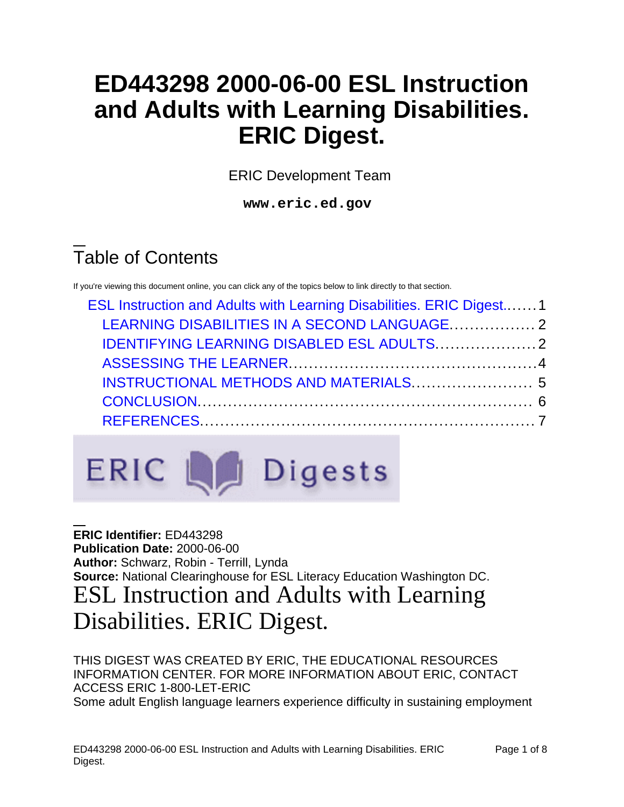# **ED443298 2000-06-00 ESL Instruction and Adults with Learning Disabilities. ERIC Digest.**

ERIC Development Team

**www.eric.ed.gov**

# Table of Contents

If you're viewing this document online, you can click any of the topics below to link directly to that section.

| ESL Instruction and Adults with Learning Disabilities. ERIC Digest1 |  |
|---------------------------------------------------------------------|--|
| LEARNING DISABILITIES IN A SECOND LANGUAGE 2                        |  |
|                                                                     |  |
|                                                                     |  |
| INSTRUCTIONAL METHODS AND MATERIALS 5                               |  |
|                                                                     |  |
|                                                                     |  |
|                                                                     |  |

# **ERIC Let Digests**

<span id="page-0-0"></span>**ERIC Identifier:** ED443298 **Publication Date:** 2000-06-00 **Author:** Schwarz, Robin - Terrill, Lynda **Source:** National Clearinghouse for ESL Literacy Education Washington DC. ESL Instruction and Adults with Learning Disabilities. ERIC Digest.

THIS DIGEST WAS CREATED BY ERIC, THE EDUCATIONAL RESOURCES INFORMATION CENTER. FOR MORE INFORMATION ABOUT ERIC, CONTACT ACCESS ERIC 1-800-LET-ERIC Some adult English language learners experience difficulty in sustaining employment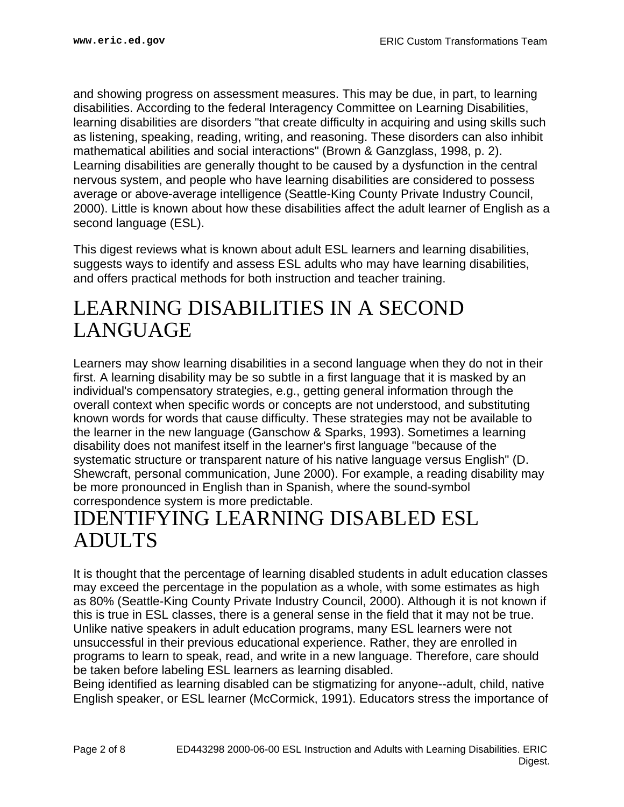and showing progress on assessment measures. This may be due, in part, to learning disabilities. According to the federal Interagency Committee on Learning Disabilities, learning disabilities are disorders "that create difficulty in acquiring and using skills such as listening, speaking, reading, writing, and reasoning. These disorders can also inhibit mathematical abilities and social interactions" (Brown & Ganzglass, 1998, p. 2). Learning disabilities are generally thought to be caused by a dysfunction in the central nervous system, and people who have learning disabilities are considered to possess average or above-average intelligence (Seattle-King County Private Industry Council, 2000). Little is known about how these disabilities affect the adult learner of English as a second language (ESL).

This digest reviews what is known about adult ESL learners and learning disabilities, suggests ways to identify and assess ESL adults who may have learning disabilities, and offers practical methods for both instruction and teacher training.

# <span id="page-1-0"></span>LEARNING DISABILITIES IN A SECOND LANGUAGE

Learners may show learning disabilities in a second language when they do not in their first. A learning disability may be so subtle in a first language that it is masked by an individual's compensatory strategies, e.g., getting general information through the overall context when specific words or concepts are not understood, and substituting known words for words that cause difficulty. These strategies may not be available to the learner in the new language (Ganschow & Sparks, 1993). Sometimes a learning disability does not manifest itself in the learner's first language "because of the systematic structure or transparent nature of his native language versus English" (D. Shewcraft, personal communication, June 2000). For example, a reading disability may be more pronounced in English than in Spanish, where the sound-symbol correspondence system is more predictable.

# <span id="page-1-1"></span>IDENTIFYING LEARNING DISABLED ESL ADULTS

It is thought that the percentage of learning disabled students in adult education classes may exceed the percentage in the population as a whole, with some estimates as high as 80% (Seattle-King County Private Industry Council, 2000). Although it is not known if this is true in ESL classes, there is a general sense in the field that it may not be true. Unlike native speakers in adult education programs, many ESL learners were not unsuccessful in their previous educational experience. Rather, they are enrolled in programs to learn to speak, read, and write in a new language. Therefore, care should be taken before labeling ESL learners as learning disabled.

Being identified as learning disabled can be stigmatizing for anyone--adult, child, native English speaker, or ESL learner (McCormick, 1991). Educators stress the importance of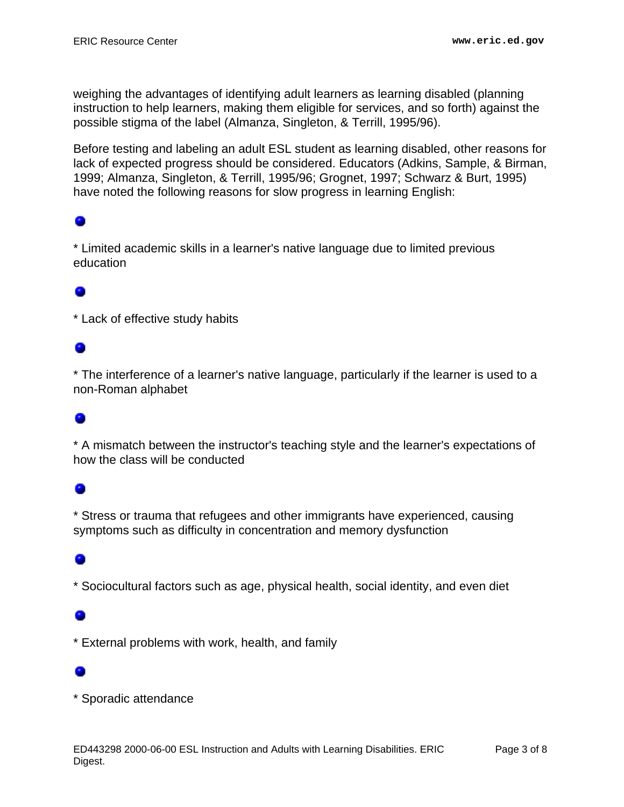weighing the advantages of identifying adult learners as learning disabled (planning instruction to help learners, making them eligible for services, and so forth) against the possible stigma of the label (Almanza, Singleton, & Terrill, 1995/96).

Before testing and labeling an adult ESL student as learning disabled, other reasons for lack of expected progress should be considered. Educators (Adkins, Sample, & Birman, 1999; Almanza, Singleton, & Terrill, 1995/96; Grognet, 1997; Schwarz & Burt, 1995) have noted the following reasons for slow progress in learning English:

### ۰

\* Limited academic skills in a learner's native language due to limited previous education

\* Lack of effective study habits

### ۰

\* The interference of a learner's native language, particularly if the learner is used to a non-Roman alphabet

### ۰

\* A mismatch between the instructor's teaching style and the learner's expectations of how the class will be conducted

\* Stress or trauma that refugees and other immigrants have experienced, causing symptoms such as difficulty in concentration and memory dysfunction

\* Sociocultural factors such as age, physical health, social identity, and even diet

\* External problems with work, health, and family

\* Sporadic attendance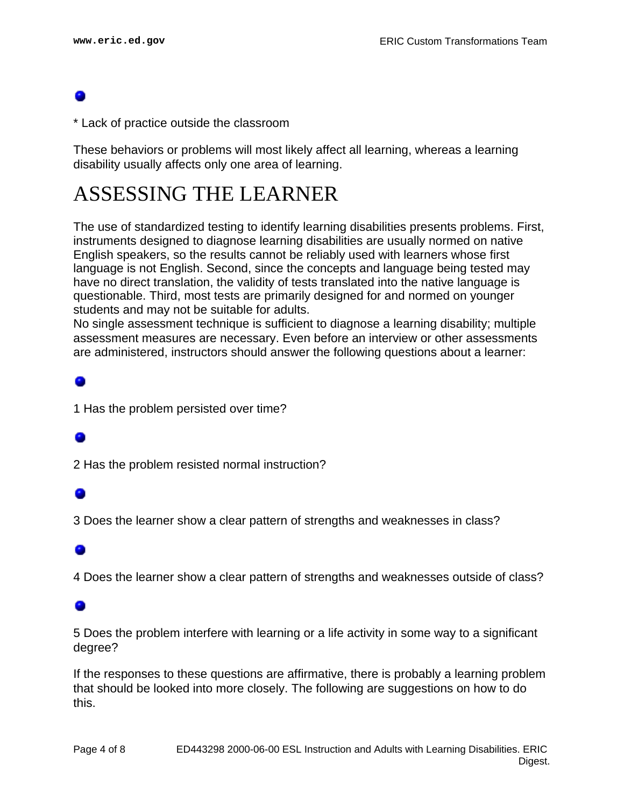\* Lack of practice outside the classroom

These behaviors or problems will most likely affect all learning, whereas a learning disability usually affects only one area of learning.

## <span id="page-3-0"></span>ASSESSING THE LEARNER

The use of standardized testing to identify learning disabilities presents problems. First, instruments designed to diagnose learning disabilities are usually normed on native English speakers, so the results cannot be reliably used with learners whose first language is not English. Second, since the concepts and language being tested may have no direct translation, the validity of tests translated into the native language is questionable. Third, most tests are primarily designed for and normed on younger students and may not be suitable for adults.

No single assessment technique is sufficient to diagnose a learning disability; multiple assessment measures are necessary. Even before an interview or other assessments are administered, instructors should answer the following questions about a learner:

1 Has the problem persisted over time?

2 Has the problem resisted normal instruction?

3 Does the learner show a clear pattern of strengths and weaknesses in class?

### 0

4 Does the learner show a clear pattern of strengths and weaknesses outside of class?

### o

5 Does the problem interfere with learning or a life activity in some way to a significant degree?

If the responses to these questions are affirmative, there is probably a learning problem that should be looked into more closely. The following are suggestions on how to do this.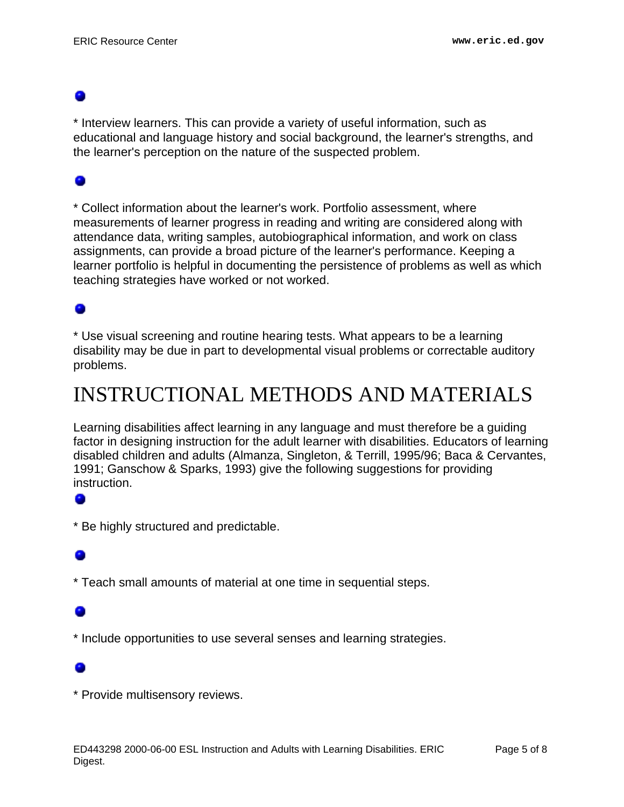\* Interview learners. This can provide a variety of useful information, such as educational and language history and social background, the learner's strengths, and the learner's perception on the nature of the suspected problem.

### 0

\* Collect information about the learner's work. Portfolio assessment, where measurements of learner progress in reading and writing are considered along with attendance data, writing samples, autobiographical information, and work on class assignments, can provide a broad picture of the learner's performance. Keeping a learner portfolio is helpful in documenting the persistence of problems as well as which teaching strategies have worked or not worked.

### 0

\* Use visual screening and routine hearing tests. What appears to be a learning disability may be due in part to developmental visual problems or correctable auditory problems.

# <span id="page-4-0"></span>INSTRUCTIONAL METHODS AND MATERIALS

Learning disabilities affect learning in any language and must therefore be a guiding factor in designing instruction for the adult learner with disabilities. Educators of learning disabled children and adults (Almanza, Singleton, & Terrill, 1995/96; Baca & Cervantes, 1991; Ganschow & Sparks, 1993) give the following suggestions for providing instruction.

### ۰

\* Be highly structured and predictable.

\* Teach small amounts of material at one time in sequential steps.

\* Include opportunities to use several senses and learning strategies.

\* Provide multisensory reviews.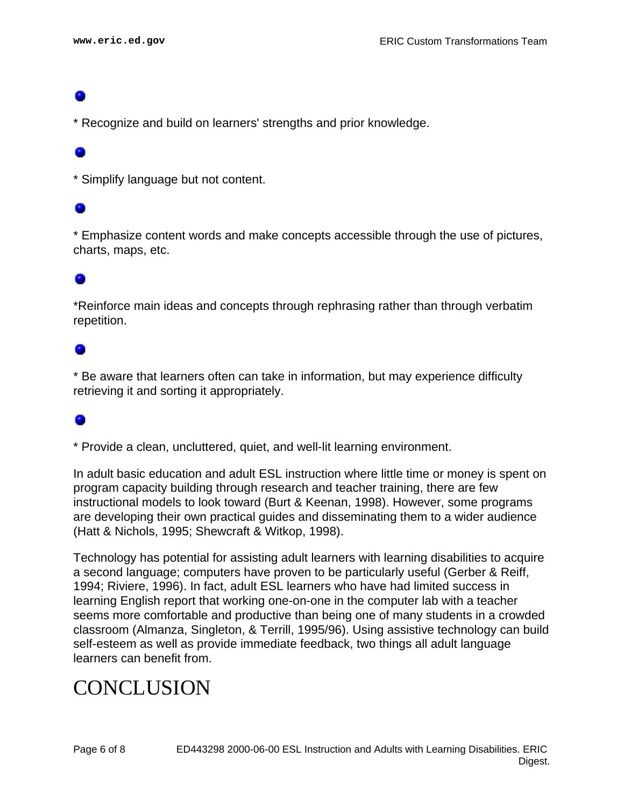\* Recognize and build on learners' strengths and prior knowledge.

\* Simplify language but not content.

\* Emphasize content words and make concepts accessible through the use of pictures, charts, maps, etc.

\*Reinforce main ideas and concepts through rephrasing rather than through verbatim repetition.

\* Be aware that learners often can take in information, but may experience difficulty retrieving it and sorting it appropriately.

\* Provide a clean, uncluttered, quiet, and well-lit learning environment.

In adult basic education and adult ESL instruction where little time or money is spent on program capacity building through research and teacher training, there are few instructional models to look toward (Burt & Keenan, 1998). However, some programs are developing their own practical guides and disseminating them to a wider audience (Hatt & Nichols, 1995; Shewcraft & Witkop, 1998).

Technology has potential for assisting adult learners with learning disabilities to acquire a second language; computers have proven to be particularly useful (Gerber & Reiff, 1994; Riviere, 1996). In fact, adult ESL learners who have had limited success in learning English report that working one-on-one in the computer lab with a teacher seems more comfortable and productive than being one of many students in a crowded classroom (Almanza, Singleton, & Terrill, 1995/96). Using assistive technology can build self-esteem as well as provide immediate feedback, two things all adult language learners can benefit from.

# <span id="page-5-0"></span>**CONCLUSION**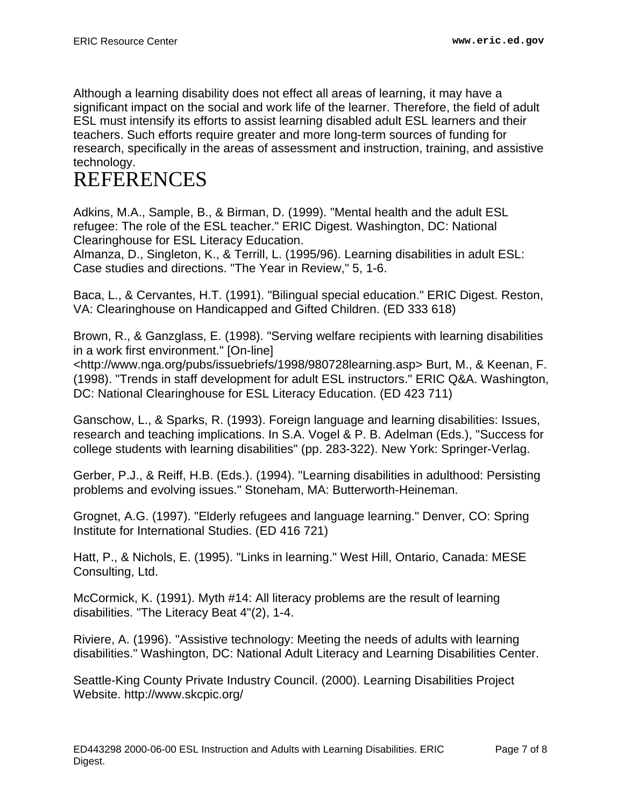Although a learning disability does not effect all areas of learning, it may have a significant impact on the social and work life of the learner. Therefore, the field of adult ESL must intensify its efforts to assist learning disabled adult ESL learners and their teachers. Such efforts require greater and more long-term sources of funding for research, specifically in the areas of assessment and instruction, training, and assistive technology.

# <span id="page-6-0"></span>REFERENCES

Adkins, M.A., Sample, B., & Birman, D. (1999). "Mental health and the adult ESL refugee: The role of the ESL teacher." ERIC Digest. Washington, DC: National Clearinghouse for ESL Literacy Education.

Almanza, D., Singleton, K., & Terrill, L. (1995/96). Learning disabilities in adult ESL: Case studies and directions. "The Year in Review," 5, 1-6.

Baca, L., & Cervantes, H.T. (1991). "Bilingual special education." ERIC Digest. Reston, VA: Clearinghouse on Handicapped and Gifted Children. (ED 333 618)

Brown, R., & Ganzglass, E. (1998). "Serving welfare recipients with learning disabilities in a work first environment." [On-line]

<http://www.nga.org/pubs/issuebriefs/1998/980728learning.asp> Burt, M., & Keenan, F. (1998). "Trends in staff development for adult ESL instructors." ERIC Q&A. Washington, DC: National Clearinghouse for ESL Literacy Education. (ED 423 711)

Ganschow, L., & Sparks, R. (1993). Foreign language and learning disabilities: Issues, research and teaching implications. In S.A. Vogel & P. B. Adelman (Eds.), "Success for college students with learning disabilities" (pp. 283-322). New York: Springer-Verlag.

Gerber, P.J., & Reiff, H.B. (Eds.). (1994). "Learning disabilities in adulthood: Persisting problems and evolving issues." Stoneham, MA: Butterworth-Heineman.

Grognet, A.G. (1997). "Elderly refugees and language learning." Denver, CO: Spring Institute for International Studies. (ED 416 721)

Hatt, P., & Nichols, E. (1995). "Links in learning." West Hill, Ontario, Canada: MESE Consulting, Ltd.

McCormick, K. (1991). Myth #14: All literacy problems are the result of learning disabilities. "The Literacy Beat 4"(2), 1-4.

Riviere, A. (1996). "Assistive technology: Meeting the needs of adults with learning disabilities." Washington, DC: National Adult Literacy and Learning Disabilities Center.

Seattle-King County Private Industry Council. (2000). Learning Disabilities Project Website. http://www.skcpic.org/